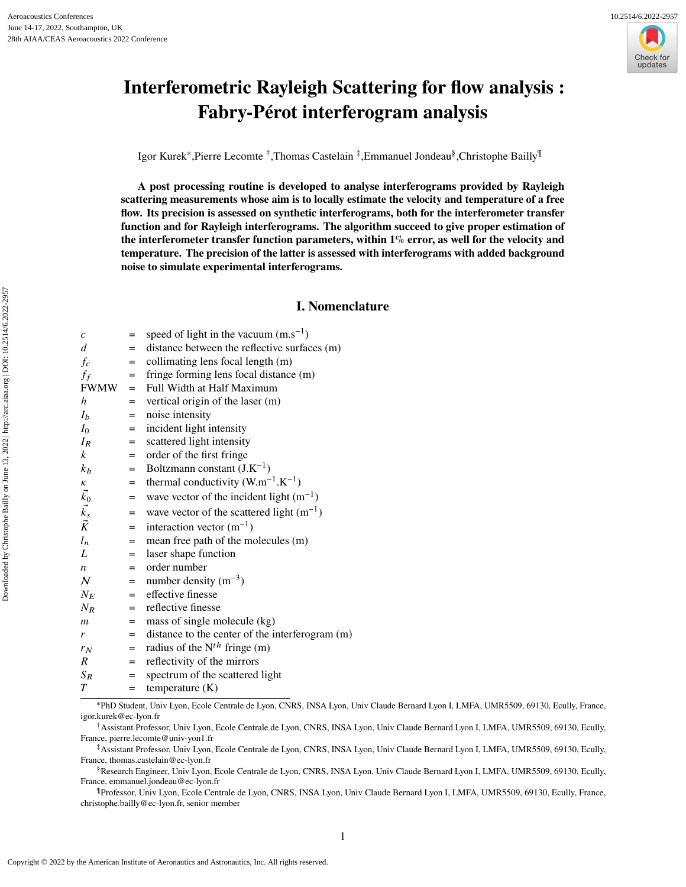

# **Interferometric Rayleigh Scattering for flow analysis : Fabry-Pérot interferogram analysis**

Igor Kurek<sup>∗</sup> ,Pierre Lecomte † ,Thomas Castelain ‡ ,Emmanuel Jondeau§ ,Christophe Bailly¶

**A post processing routine is developed to analyse interferograms provided by Rayleigh scattering measurements whose aim is to locally estimate the velocity and temperature of a free flow. Its precision is assessed on synthetic interferograms, both for the interferometer transfer function and for Rayleigh interferograms. The algorithm succeed to give proper estimation of the interferometer transfer function parameters, within 1**% **error, as well for the velocity and temperature. The precision of the latter is assessed with interferograms with added background noise to simulate experimental interferograms.**

## **I. Nomenclature**

| c                | $=$ | speed of light in the vacuum $(m.s^{-1})$       |
|------------------|-----|-------------------------------------------------|
| d                | $=$ | distance between the reflective surfaces (m)    |
| $f_c$            | $=$ | collimating lens focal length (m)               |
| $f_f$            | $=$ | fringe forming lens focal distance (m)          |
| <b>FWMW</b>      | $=$ | Full Width at Half Maximum                      |
| h                | =   | vertical origin of the laser (m)                |
| I <sub>b</sub>   | $=$ | noise intensity                                 |
| $I_0$            | $=$ | incident light intensity                        |
| $I_R$            | $=$ | scattered light intensity                       |
| $\boldsymbol{k}$ | $=$ | order of the first fringe                       |
| $k_b$            | $=$ | Boltzmann constant $(J.K^{-1})$                 |
| К                | =   | thermal conductivity $(W.m^{-1}.K^{-1})$        |
| $\vec{k_0}$      | $=$ | wave vector of the incident light $(m^{-1})$    |
| $\vec{k_s}$      | $=$ | wave vector of the scattered light $(m^{-1})$   |
|                  | $=$ | interaction vector $(m^{-1})$                   |
| $l_n$            | $=$ | mean free path of the molecules (m)             |
| L                | $=$ | laser shape function                            |
| n                | $=$ | order number                                    |
| $\mathcal N$     | $=$ | number density $(m^{-3})$                       |
| $N_E$            | $=$ | effective finesse                               |
| $N_R$            | $=$ | reflective finesse                              |
| $\mathfrak{m}$   | =   | mass of single molecule (kg)                    |
| r                | $=$ | distance to the center of the interferogram (m) |
| $r_N$            | $=$ | radius of the $N^{th}$ fringe (m)               |
| $\boldsymbol{R}$ | $=$ | reflectivity of the mirrors                     |
| $S_R$            | $=$ | spectrum of the scattered light                 |
| T                | $=$ | temperature $(K)$                               |
|                  |     |                                                 |

<sup>∗</sup>PhD Student, Univ Lyon, Ecole Centrale de Lyon, CNRS, INSA Lyon, Univ Claude Bernard Lyon I, LMFA, UMR5509, 69130, Ecully, France, igor.kurek@ec-lyon.fr

†Assistant Professor, Univ Lyon, Ecole Centrale de Lyon, CNRS, INSA Lyon, Univ Claude Bernard Lyon I, LMFA, UMR5509, 69130, Ecully, France, pierre.lecomte@univ-yon1.fr

‡Assistant Professor, Univ Lyon, Ecole Centrale de Lyon, CNRS, INSA Lyon, Univ Claude Bernard Lyon I, LMFA, UMR5509, 69130, Ecully, France, thomas.castelain@ec-lyon.fr

§Research Engineer, Univ Lyon, Ecole Centrale de Lyon, CNRS, INSA Lyon, Univ Claude Bernard Lyon I, LMFA, UMR5509, 69130, Ecully, France, emmanuel.jondeau@ec-lyon.fr

¶Professor, Univ Lyon, Ecole Centrale de Lyon, CNRS, INSA Lyon, Univ Claude Bernard Lyon I, LMFA, UMR5509, 69130, Ecully, France, christophe.bailly@ec-lyon.fr, senior member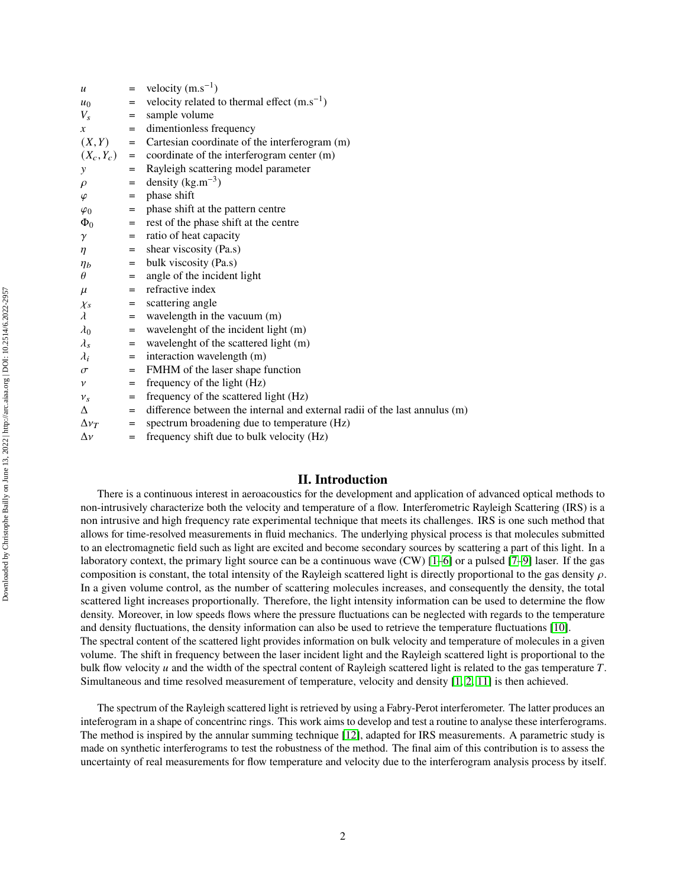| $\boldsymbol{u}$ | $=$ | velocity $(m.s^{-1})$                                                      |
|------------------|-----|----------------------------------------------------------------------------|
| $u_0$            | $=$ | velocity related to thermal effect $(m.s^{-1})$                            |
| $V_s$            | =   | sample volume                                                              |
| $\boldsymbol{x}$ | $=$ | dimentionless frequency                                                    |
| (X, Y)           | $=$ | Cartesian coordinate of the interferogram (m)                              |
| $(X_c, Y_c)$     | $=$ | coordinate of the interferogram center (m)                                 |
| $\mathcal{Y}$    | $=$ | Rayleigh scattering model parameter                                        |
| $\rho$           | $=$ | density $(kg.m^{-3})$                                                      |
| $\varphi$        | $=$ | phase shift                                                                |
| $\varphi_0$      | $=$ | phase shift at the pattern centre                                          |
| $\Phi_0$         | $=$ | rest of the phase shift at the centre                                      |
| $\gamma$         | =   | ratio of heat capacity                                                     |
| $\eta$           | $=$ | shear viscosity (Pa.s)                                                     |
| $\eta_b$         | =   | bulk viscosity (Pa.s)                                                      |
| $\theta$         | $=$ | angle of the incident light                                                |
| $\mu$            | $=$ | refractive index                                                           |
| $\chi_s$         | =   | scattering angle                                                           |
| $\lambda$        | $=$ | wavelength in the vacuum (m)                                               |
| $\lambda_0$      | =   | wavelenght of the incident light (m)                                       |
| $\lambda_s$      | =   | wavelenght of the scattered light (m)                                      |
| $\lambda_i$      | =   | interaction wavelength (m)                                                 |
| $\sigma$         | $=$ | FMHM of the laser shape function                                           |
| $\mathcal V$     | =   | frequency of the light (Hz)                                                |
| $v_s$            | $=$ | frequency of the scattered light (Hz)                                      |
| Δ                | $=$ | difference between the internal and external radii of the last annulus (m) |
| $\Delta v_T$     | $=$ | spectrum broadening due to temperature (Hz)                                |
| $\Delta \nu$     | $=$ | frequency shift due to bulk velocity (Hz)                                  |

## **II. Introduction**

There is a continuous interest in aeroacoustics for the development and application of advanced optical methods to non-intrusively characterize both the velocity and temperature of a flow. Interferometric Rayleigh Scattering (IRS) is a non intrusive and high frequency rate experimental technique that meets its challenges. IRS is one such method that allows for time-resolved measurements in fluid mechanics. The underlying physical process is that molecules submitted to an electromagnetic field such as light are excited and become secondary sources by scattering a part of this light. In a laboratory context, the primary light source can be a continuous wave (CW) [\[1–](#page-16-0)[6\]](#page-16-1) or a pulsed [\[7–](#page-16-2)[9\]](#page-16-3) laser. If the gas composition is constant, the total intensity of the Rayleigh scattered light is directly proportional to the gas density  $\rho$ . In a given volume control, as the number of scattering molecules increases, and consequently the density, the total scattered light increases proportionally. Therefore, the light intensity information can be used to determine the flow density. Moreover, in low speeds flows where the pressure fluctuations can be neglected with regards to the temperature and density fluctuations, the density information can also be used to retrieve the temperature fluctuations [\[10\]](#page-16-4). The spectral content of the scattered light provides information on bulk velocity and temperature of molecules in a given volume. The shift in frequency between the laser incident light and the Rayleigh scattered light is proportional to the bulk flow velocity  $u$  and the width of the spectral content of Rayleigh scattered light is related to the gas temperature  $T$ . Simultaneous and time resolved measurement of temperature, velocity and density [\[1,](#page-16-0) [2,](#page-16-5) [11\]](#page-16-6) is then achieved.

The spectrum of the Rayleigh scattered light is retrieved by using a Fabry-Perot interferometer. The latter produces an inteferogram in a shape of concentrinc rings. This work aims to develop and test a routine to analyse these interferograms. The method is inspired by the annular summing technique [\[12\]](#page-16-7), adapted for IRS measurements. A parametric study is made on synthetic interferograms to test the robustness of the method. The final aim of this contribution is to assess the uncertainty of real measurements for flow temperature and velocity due to the interferogram analysis process by itself.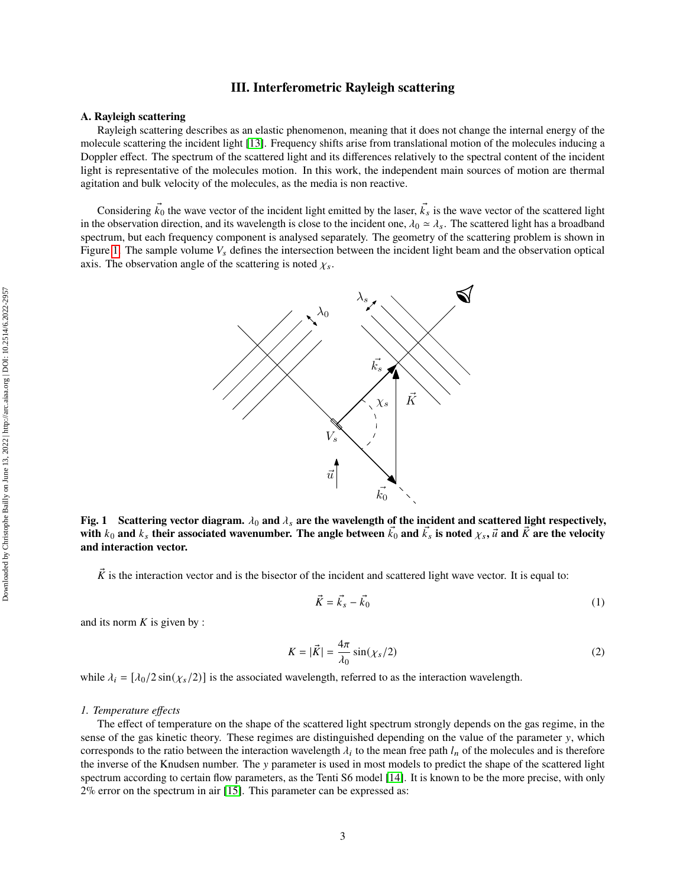## **III. Interferometric Rayleigh scattering**

## **A. Rayleigh scattering**

Rayleigh scattering describes as an elastic phenomenon, meaning that it does not change the internal energy of the molecule scattering the incident light [\[13\]](#page-16-8). Frequency shifts arise from translational motion of the molecules inducing a Doppler effect. The spectrum of the scattered light and its differences relatively to the spectral content of the incident light is representative of the molecules motion. In this work, the independent main sources of motion are thermal agitation and bulk velocity of the molecules, as the media is non reactive.

<span id="page-2-0"></span>Considering  $\vec{k}_0$  the wave vector of the incident light emitted by the laser,  $\vec{k}_s$  is the wave vector of the scattered light in the observation direction, and its wavelength is close to the incident one,  $\lambda_0 \simeq \lambda_s$ . The scattered light has a broadband spectrum, but each frequency component is analysed separately. The geometry of the scattering problem is shown in Figure [1.](#page-2-0) The sample volume  $V_s$  defines the intersection between the incident light beam and the observation optical axis. The observation angle of the scattering is noted  $\chi_s$ .



Fig. 1 Scattering vector diagram.  $\lambda_0$  and  $\lambda_s$  are the wavelength of the incident and scattered light respectively, with  $k_0$  and  $k_s$  their associated wavenumber. The angle between  $\vec{k_0}$  and  $\vec{k_s}$  is noted  $\chi_s$ ,  $\vec{u}$  and  $\vec{K}$  are the velocity **and interaction vector.**

 $\vec{K}$  is the interaction vector and is the bisector of the incident and scattered light wave vector. It is equal to:

$$
\vec{K} = \vec{k}_s - \vec{k}_0 \tag{1}
$$

and its norm  $K$  is given by :

$$
K = |\vec{K}| = \frac{4\pi}{\lambda_0} \sin(\chi_s/2)
$$
 (2)

while  $\lambda_i = [\lambda_0/2 \sin(\chi_s/2)]$  is the associated wavelength, referred to as the interaction wavelength.

#### <span id="page-2-1"></span>*1. Temperature effects*

The effect of temperature on the shape of the scattered light spectrum strongly depends on the gas regime, in the sense of the gas kinetic theory. These regimes are distinguished depending on the value of the parameter y, which corresponds to the ratio between the interaction wavelength  $\lambda_i$  to the mean free path  $l_n$  of the molecules and is therefore the inverse of the Knudsen number. The y parameter is used in most models to predict the shape of the scattered light spectrum according to certain flow parameters, as the Tenti S6 model [\[14\]](#page-16-9). It is known to be the more precise, with only 2% error on the spectrum in air [\[15\]](#page-16-10). This parameter can be expressed as: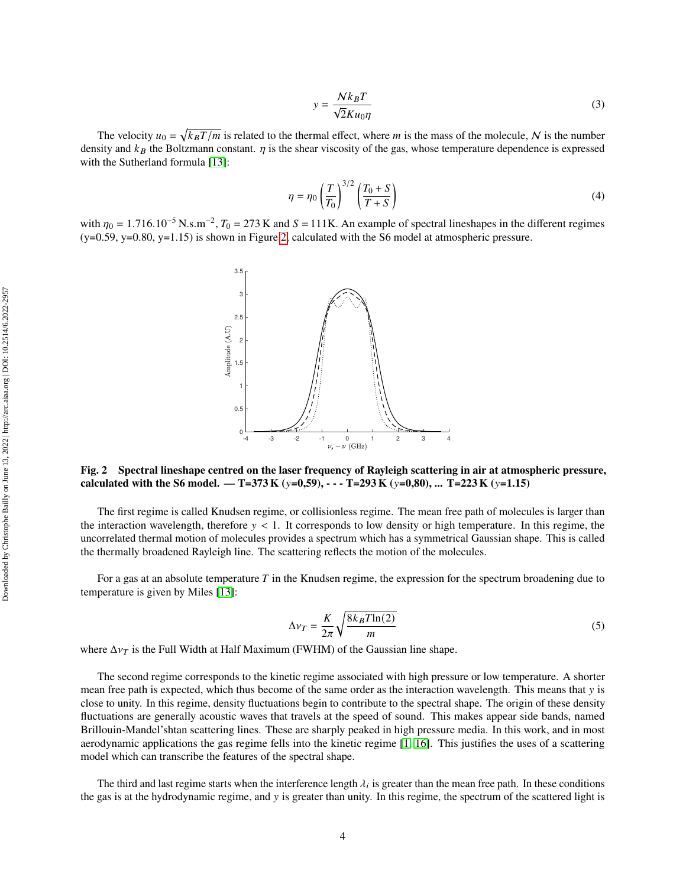$$
y = \frac{Nk_B T}{\sqrt{2}K u_0 \eta} \tag{3}
$$

The velocity  $u_0 = \sqrt{k_B T/m}$  is related to the thermal effect, where m is the mass of the molecule, N is the number density and  $k_B$  the Boltzmann constant.  $\eta$  is the shear viscosity of the gas, whose temperature dependence is expressed with the Sutherland formula [\[13\]](#page-16-8):

$$
\eta = \eta_0 \left(\frac{T}{T_0}\right)^{3/2} \left(\frac{T_0 + S}{T + S}\right) \tag{4}
$$

<span id="page-3-0"></span>with  $\eta_0 = 1.716.10^{-5} \text{ N.s.m}^{-2}$ ,  $T_0 = 273 \text{ K}$  and  $S = 111 \text{ K}$ . An example of spectral lineshapes in the different regimes  $(y=0.59, y=0.80, y=1.15)$  is shown in Figure [2,](#page-3-0) calculated with the S6 model at atmospheric pressure.



**Fig. 2 Spectral lineshape centred on the laser frequency of Rayleigh scattering in air at atmospheric pressure, calculated with the S6 model. — T=373 K (** $y=0,59$ **),**  $\cdots$  **T=293 K (** $y=0,80$ **), ... T=223 K (** $y=1.15$ **)** 

The first regime is called Knudsen regime, or collisionless regime. The mean free path of molecules is larger than the interaction wavelength, therefore  $y < 1$ . It corresponds to low density or high temperature. In this regime, the uncorrelated thermal motion of molecules provides a spectrum which has a symmetrical Gaussian shape. This is called the thermally broadened Rayleigh line. The scattering reflects the motion of the molecules.

For a gas at an absolute temperature  $T$  in the Knudsen regime, the expression for the spectrum broadening due to temperature is given by Miles [\[13\]](#page-16-8):

$$
\Delta v_T = \frac{K}{2\pi} \sqrt{\frac{8k_B T \ln(2)}{m}}\tag{5}
$$

where  $\Delta v_T$  is the Full Width at Half Maximum (FWHM) of the Gaussian line shape.

The second regime corresponds to the kinetic regime associated with high pressure or low temperature. A shorter mean free path is expected, which thus become of the same order as the interaction wavelength. This means that y is close to unity. In this regime, density fluctuations begin to contribute to the spectral shape. The origin of these density fluctuations are generally acoustic waves that travels at the speed of sound. This makes appear side bands, named Brillouin-Mandel'shtan scattering lines. These are sharply peaked in high pressure media. In this work, and in most aerodynamic applications the gas regime fells into the kinetic regime [\[1,](#page-16-0) [16\]](#page-16-11). This justifies the uses of a scattering model which can transcribe the features of the spectral shape.

The third and last regime starts when the interference length  $\lambda_i$  is greater than the mean free path. In these conditions the gas is at the hydrodynamic regime, and y is greater than unity. In this regime, the spectrum of the scattered light is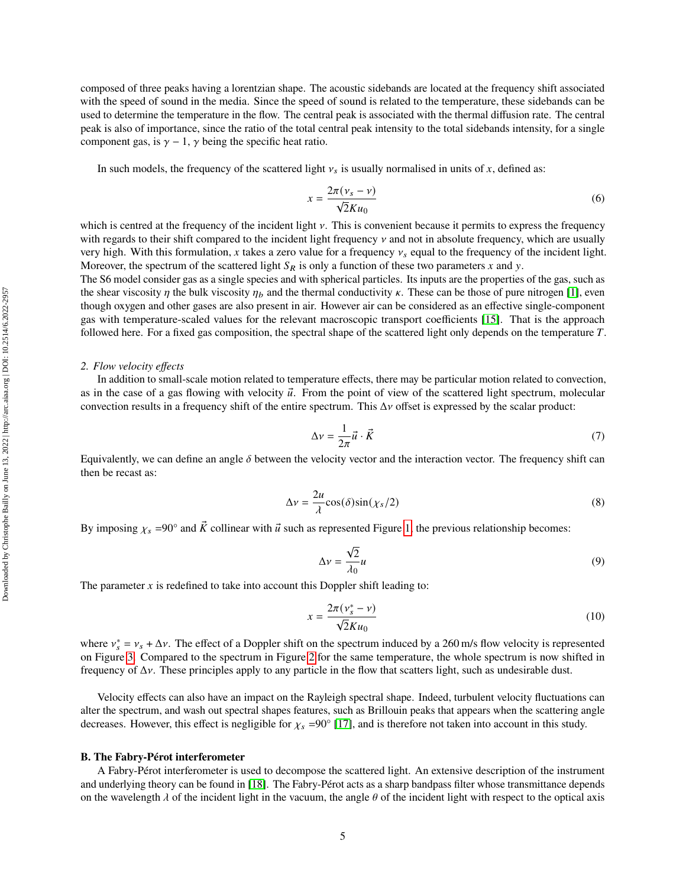composed of three peaks having a lorentzian shape. The acoustic sidebands are located at the frequency shift associated with the speed of sound in the media. Since the speed of sound is related to the temperature, these sidebands can be used to determine the temperature in the flow. The central peak is associated with the thermal diffusion rate. The central peak is also of importance, since the ratio of the total central peak intensity to the total sidebands intensity, for a single component gas, is  $\gamma - 1$ ,  $\gamma$  being the specific heat ratio.

In such models, the frequency of the scattered light  $v_s$  is usually normalised in units of x, defined as:

$$
x = \frac{2\pi (v_s - v)}{\sqrt{2}K u_0} \tag{6}
$$

which is centred at the frequency of the incident light  $\nu$ . This is convenient because it permits to express the frequency with regards to their shift compared to the incident light frequency  $\nu$  and not in absolute frequency, which are usually very high. With this formulation, x takes a zero value for a frequency  $v_s$  equal to the frequency of the incident light. Moreover, the spectrum of the scattered light  $S_R$  is only a function of these two parameters x and y.

The S6 model consider gas as a single species and with spherical particles. Its inputs are the properties of the gas, such as the shear viscosity  $\eta$  the bulk viscosity  $\eta_b$  and the thermal conductivity  $\kappa$ . These can be those of pure nitrogen [\[1\]](#page-16-0), even though oxygen and other gases are also present in air. However air can be considered as an effective single-component gas with temperature-scaled values for the relevant macroscopic transport coefficients [\[15\]](#page-16-10). That is the approach followed here. For a fixed gas composition, the spectral shape of the scattered light only depends on the temperature  $T$ .

#### *2. Flow velocity effects*

In addition to small-scale motion related to temperature effects, there may be particular motion related to convection, as in the case of a gas flowing with velocity  $\vec{u}$ . From the point of view of the scattered light spectrum, molecular convection results in a frequency shift of the entire spectrum. This  $\Delta v$  offset is expressed by the scalar product:

$$
\Delta v = \frac{1}{2\pi} \vec{u} \cdot \vec{K} \tag{7}
$$

Equivalently, we can define an angle  $\delta$  between the velocity vector and the interaction vector. The frequency shift can then be recast as:

$$
\Delta v = \frac{2u}{\lambda} \cos(\delta) \sin(\chi_s/2)
$$
 (8)

By imposing  $\chi_s = 90^\circ$  and  $\vec{K}$  collinear with  $\vec{u}$  such as represented Figure [1,](#page-2-0) the previous relationship becomes:

$$
\Delta v = \frac{\sqrt{2}}{\lambda_0} u \tag{9}
$$

The parameter  $x$  is redefined to take into account this Doppler shift leading to:

<span id="page-4-0"></span>
$$
x = \frac{2\pi (v_s^* - v)}{\sqrt{2}K u_0}
$$
 (10)

where  $v_s^* = v_s + \Delta v$ . The effect of a Doppler shift on the spectrum induced by a 260 m/s flow velocity is represented on Figure [3.](#page-5-0) Compared to the spectrum in Figure [2](#page-3-0) for the same temperature, the whole spectrum is now shifted in frequency of  $\Delta y$ . These principles apply to any particle in the flow that scatters light, such as undesirable dust.

Velocity effects can also have an impact on the Rayleigh spectral shape. Indeed, turbulent velocity fluctuations can alter the spectrum, and wash out spectral shapes features, such as Brillouin peaks that appears when the scattering angle decreases. However, this effect is negligible for  $\chi_s$  =90° [\[17\]](#page-16-12), and is therefore not taken into account in this study.

#### **B. The Fabry-Pérot interferometer**

A Fabry-Pérot interferometer is used to decompose the scattered light. An extensive description of the instrument and underlying theory can be found in [\[18\]](#page-16-13). The Fabry-Pérot acts as a sharp bandpass filter whose transmittance depends on the wavelength  $\lambda$  of the incident light in the vacuum, the angle  $\theta$  of the incident light with respect to the optical axis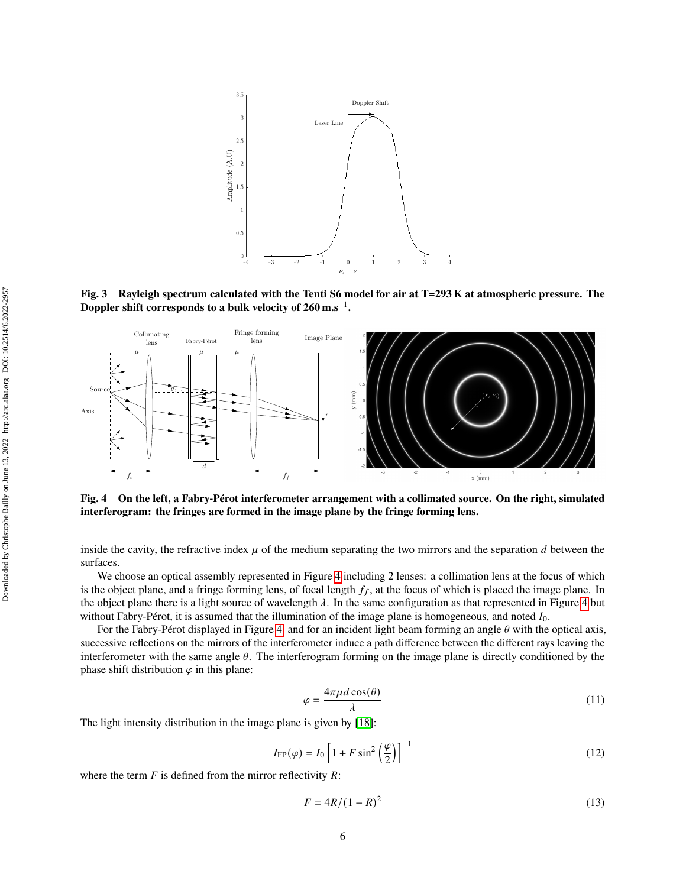<span id="page-5-0"></span>

**Fig. 3 Rayleigh spectrum calculated with the Tenti S6 model for air at T=293 K at atmospheric pressure. The Doppler shift corresponds to a bulk velocity of 260 m.s**−<sup>1</sup> **.**

<span id="page-5-1"></span>

**Fig. 4 On the left, a Fabry-Pérot interferometer arrangement with a collimated source. On the right, simulated interferogram: the fringes are formed in the image plane by the fringe forming lens.**

inside the cavity, the refractive index  $\mu$  of the medium separating the two mirrors and the separation  $d$  between the surfaces.

We choose an optical assembly represented in Figure [4](#page-5-1) including 2 lenses: a collimation lens at the focus of which is the object plane, and a fringe forming lens, of focal length  $f_f$ , at the focus of which is placed the image plane. In the object plane there is a light source of wavelength  $\lambda$ . In the same configuration as that represented in Figure [4](#page-5-1) but without Fabry-Pérot, it is assumed that the illumination of the image plane is homogeneous, and noted  $I_0$ .

For the Fabry-Pérot displayed in Figure [4,](#page-5-1) and for an incident light beam forming an angle  $\theta$  with the optical axis, successive reflections on the mirrors of the interferometer induce a path difference between the different rays leaving the interferometer with the same angle  $\theta$ . The interferogram forming on the image plane is directly conditioned by the phase shift distribution  $\varphi$  in this plane:

$$
\varphi = \frac{4\pi\mu d\cos(\theta)}{\lambda} \tag{11}
$$

The light intensity distribution in the image plane is given by [\[18\]](#page-16-13):

<span id="page-5-2"></span>
$$
I_{\rm FP}(\varphi) = I_0 \left[ 1 + F \sin^2 \left( \frac{\varphi}{2} \right) \right]^{-1} \tag{12}
$$

where the term  $F$  is defined from the mirror reflectivity  $R$ :

$$
F = 4R/(1 - R)^2 \tag{13}
$$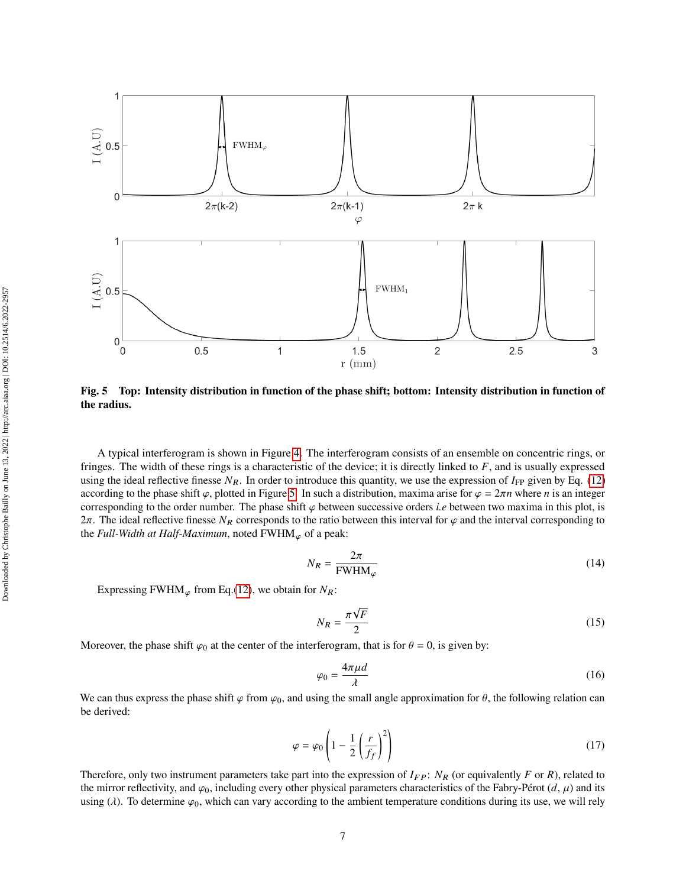<span id="page-6-0"></span>

**Fig. 5 Top: Intensity distribution in function of the phase shift; bottom: Intensity distribution in function of the radius.**

A typical interferogram is shown in Figure [4.](#page-5-1) The interferogram consists of an ensemble on concentric rings, or fringes. The width of these rings is a characteristic of the device; it is directly linked to  $F$ , and is usually expressed using the ideal reflective finesse  $N_R$ . In order to introduce this quantity, we use the expression of  $I_{FP}$  given by Eq. [\(12\)](#page-5-2) according to the phase shift  $\varphi$ , plotted in Figure [5.](#page-6-0) In such a distribution, maxima arise for  $\varphi = 2\pi n$  where *n* is an integer corresponding to the order number. The phase shift  $\varphi$  between successive orders *i.e* between two maxima in this plot, is  $2\pi$ . The ideal reflective finesse  $N_R$  corresponds to the ratio between this interval for  $\varphi$  and the interval corresponding to the *Full-Width at Half-Maximum*, noted  $FWHM_{\varphi}$  of a peak:

$$
N_R = \frac{2\pi}{\text{FWHM}_{\varphi}}\tag{14}
$$

Expressing FWHM<sub> $\varphi$ </sub> from Eq.[\(12\)](#page-5-2), we obtain for  $N_R$ :

$$
N_R = \frac{\pi\sqrt{F}}{2} \tag{15}
$$

Moreover, the phase shift  $\varphi_0$  at the center of the interferogram, that is for  $\theta = 0$ , is given by:

$$
\varphi_0 = \frac{4\pi\mu d}{\lambda} \tag{16}
$$

We can thus express the phase shift  $\varphi$  from  $\varphi_0$ , and using the small angle approximation for  $\theta$ , the following relation can be derived:

$$
\varphi = \varphi_0 \left( 1 - \frac{1}{2} \left( \frac{r}{f_f} \right)^2 \right) \tag{17}
$$

Therefore, only two instrument parameters take part into the expression of  $I_{FP}$ :  $N_R$  (or equivalently F or R), related to the mirror reflectivity, and  $\varphi_0$ , including every other physical parameters characteristics of the Fabry-Pérot  $(d, \mu)$  and its using ( $\lambda$ ). To determine  $\varphi_0$ , which can vary according to the ambient temperature conditions during its use, we will rely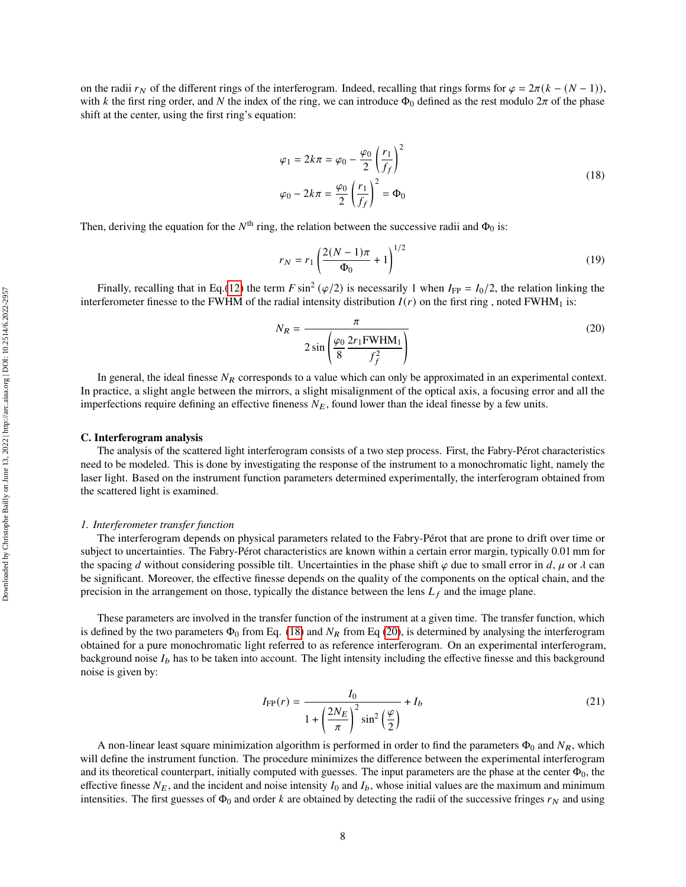on the radii  $r_N$  of the different rings of the interferogram. Indeed, recalling that rings forms for  $\varphi = 2\pi (k - (N - 1))$ , with k the first ring order, and N the index of the ring, we can introduce  $\Phi_0$  defined as the rest modulo  $2\pi$  of the phase shift at the center, using the first ring's equation:

$$
\varphi_1 = 2k\pi = \varphi_0 - \frac{\varphi_0}{2} \left(\frac{r_1}{f_f}\right)^2
$$
  

$$
\varphi_0 - 2k\pi = \frac{\varphi_0}{2} \left(\frac{r_1}{f_f}\right)^2 = \Phi_0
$$
 (18)

<span id="page-7-0"></span>Then, deriving the equation for the  $N^{\text{th}}$  ring, the relation between the successive radii and  $\Phi_0$  is:

<span id="page-7-2"></span>
$$
r_N = r_1 \left(\frac{2(N-1)\pi}{\Phi_0} + 1\right)^{1/2} \tag{19}
$$

Finally, recalling that in Eq.[\(12\)](#page-5-2) the term  $F \sin^2(\varphi/2)$  is necessarily 1 when  $I_{FP} = I_0/2$ , the relation linking the interferometer finesse to the FWHM of the radial intensity distribution  $I(r)$  on the first ring , noted FWHM<sub>1</sub> is:

<span id="page-7-1"></span>
$$
N_R = \frac{\pi}{2\sin\left(\frac{\varphi_0}{8}\frac{2r_1\text{FWHM}_1}{f_f^2}\right)}
$$
(20)

In general, the ideal finesse  $N_R$  corresponds to a value which can only be approximated in an experimental context. In practice, a slight angle between the mirrors, a slight misalignment of the optical axis, a focusing error and all the imperfections require defining an effective fineness  $N_E$ , found lower than the ideal finesse by a few units.

#### **C. Interferogram analysis**

The analysis of the scattered light interferogram consists of a two step process. First, the Fabry-Pérot characteristics need to be modeled. This is done by investigating the response of the instrument to a monochromatic light, namely the laser light. Based on the instrument function parameters determined experimentally, the interferogram obtained from the scattered light is examined.

#### <span id="page-7-4"></span>*1. Interferometer transfer function*

The interferogram depends on physical parameters related to the Fabry-Pérot that are prone to drift over time or subject to uncertainties. The Fabry-Pérot characteristics are known within a certain error margin, typically 0.01 mm for the spacing d without considering possible tilt. Uncertainties in the phase shift  $\varphi$  due to small error in d,  $\mu$  or  $\lambda$  can be significant. Moreover, the effective finesse depends on the quality of the components on the optical chain, and the precision in the arrangement on those, typically the distance between the lens  $L_f$  and the image plane.

These parameters are involved in the transfer function of the instrument at a given time. The transfer function, which is defined by the two parameters  $\Phi_0$  from Eq. [\(18\)](#page-7-0) and  $N_R$  from Eq [\(20\)](#page-7-1), is determined by analysing the interferogram obtained for a pure monochromatic light referred to as reference interferogram. On an experimental interferogram, background noise  $I_b$  has to be taken into account. The light intensity including the effective finesse and this background noise is given by:

<span id="page-7-3"></span>
$$
I_{\rm FP}(r) = \frac{I_0}{1 + \left(\frac{2N_E}{\pi}\right)^2 \sin^2\left(\frac{\varphi}{2}\right)} + I_b
$$
\n(21)

A non-linear least square minimization algorithm is performed in order to find the parameters  $\Phi_0$  and  $N_R$ , which will define the instrument function. The procedure minimizes the difference between the experimental interferogram and its theoretical counterpart, initially computed with guesses. The input parameters are the phase at the center  $\Phi_0$ , the effective finesse  $N_E$ , and the incident and noise intensity  $I_0$  and  $I_b$ , whose initial values are the maximum and minimum intensities. The first guesses of  $\Phi_0$  and order k are obtained by detecting the radii of the successive fringes  $r_N$  and using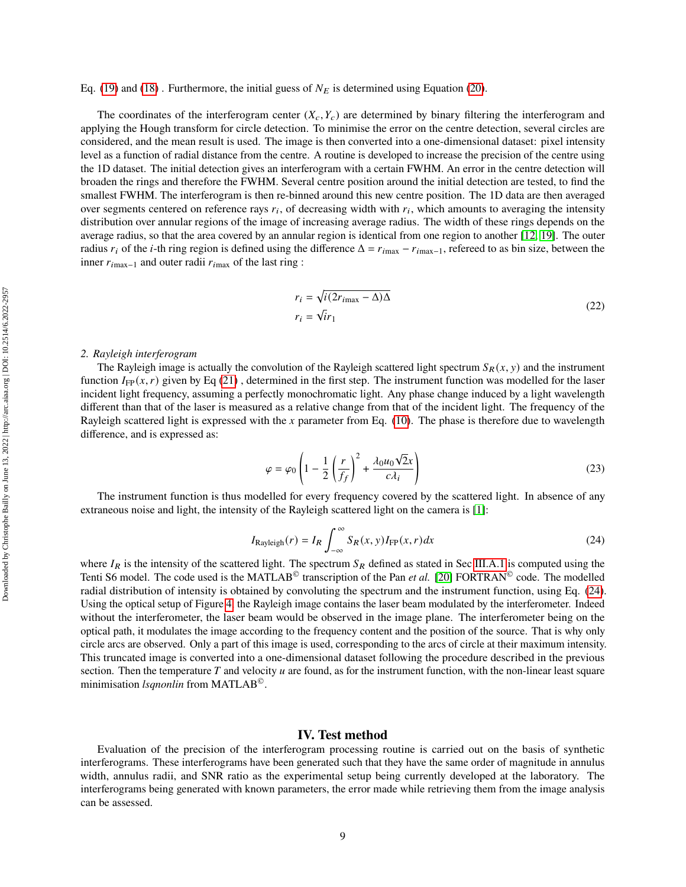#### Eq. [\(19\)](#page-7-2) and [\(18\)](#page-7-0). Furthermore, the initial guess of  $N_E$  is determined using Equation [\(20\)](#page-7-1).

The coordinates of the interferogram center  $(X_c, Y_c)$  are determined by binary filtering the interferogram and applying the Hough transform for circle detection. To minimise the error on the centre detection, several circles are considered, and the mean result is used. The image is then converted into a one-dimensional dataset: pixel intensity level as a function of radial distance from the centre. A routine is developed to increase the precision of the centre using the 1D dataset. The initial detection gives an interferogram with a certain FWHM. An error in the centre detection will broaden the rings and therefore the FWHM. Several centre position around the initial detection are tested, to find the smallest FWHM. The interferogram is then re-binned around this new centre position. The 1D data are then averaged over segments centered on reference rays  $r_i$ , of decreasing width with  $r_i$ , which amounts to averaging the intensity distribution over annular regions of the image of increasing average radius. The width of these rings depends on the average radius, so that the area covered by an annular region is identical from one region to another [\[12,](#page-16-7) [19\]](#page-17-0). The outer radius  $r_i$  of the *i*-th ring region is defined using the difference  $\Delta = r_{\text{max}} - r_{\text{max}-1}$ , refereed to as bin size, between the inner  $r_{i\text{max}-1}$  and outer radii  $r_{i\text{max}}$  of the last ring :

$$
r_i = \sqrt{i(2r_{i\text{max}} - \Delta)\Delta}
$$
  
\n
$$
r_i = \sqrt{i}r_1
$$
\n(22)

#### *2. Rayleigh interferogram*

The Rayleigh image is actually the convolution of the Rayleigh scattered light spectrum  $S_R(x, y)$  and the instrument function  $I_{FP}(x, r)$  given by Eq [\(21\)](#page-7-3), determined in the first step. The instrument function was modelled for the laser incident light frequency, assuming a perfectly monochromatic light. Any phase change induced by a light wavelength different than that of the laser is measured as a relative change from that of the incident light. The frequency of the Rayleigh scattered light is expressed with the  $x$  parameter from Eq. [\(10\)](#page-4-0). The phase is therefore due to wavelength difference, and is expressed as:

$$
\varphi = \varphi_0 \left( 1 - \frac{1}{2} \left( \frac{r}{f_f} \right)^2 + \frac{\lambda_0 u_0 \sqrt{2} x}{c \lambda_i} \right) \tag{23}
$$

The instrument function is thus modelled for every frequency covered by the scattered light. In absence of any extraneous noise and light, the intensity of the Rayleigh scattered light on the camera is [\[1\]](#page-16-0):

<span id="page-8-0"></span>
$$
I_{\text{Rayleigh}}(r) = I_R \int_{-\infty}^{\infty} S_R(x, y) I_{\text{FP}}(x, r) dx
$$
\n(24)

where  $I_R$  is the intensity of the scattered light. The spectrum  $S_R$  defined as stated in Sec [III.A.1](#page-2-1) is computed using the Tenti S6 model. The code used is the MATLAB<sup>®</sup> transcription of the Pan *et al.* [\[20\]](#page-17-1) FORTRAN<sup>®</sup> code. The modelled radial distribution of intensity is obtained by convoluting the spectrum and the instrument function, using Eq. [\(24\)](#page-8-0). Using the optical setup of Figure [4,](#page-5-1) the Rayleigh image contains the laser beam modulated by the interferometer. Indeed without the interferometer, the laser beam would be observed in the image plane. The interferometer being on the optical path, it modulates the image according to the frequency content and the position of the source. That is why only circle arcs are observed. Only a part of this image is used, corresponding to the arcs of circle at their maximum intensity. This truncated image is converted into a one-dimensional dataset following the procedure described in the previous section. Then the temperature  $T$  and velocity  $u$  are found, as for the instrument function, with the non-linear least square minimisation *lsqnonlin* from MATLAB©.

## **IV. Test method**

Evaluation of the precision of the interferogram processing routine is carried out on the basis of synthetic interferograms. These interferograms have been generated such that they have the same order of magnitude in annulus width, annulus radii, and SNR ratio as the experimental setup being currently developed at the laboratory. The interferograms being generated with known parameters, the error made while retrieving them from the image analysis can be assessed.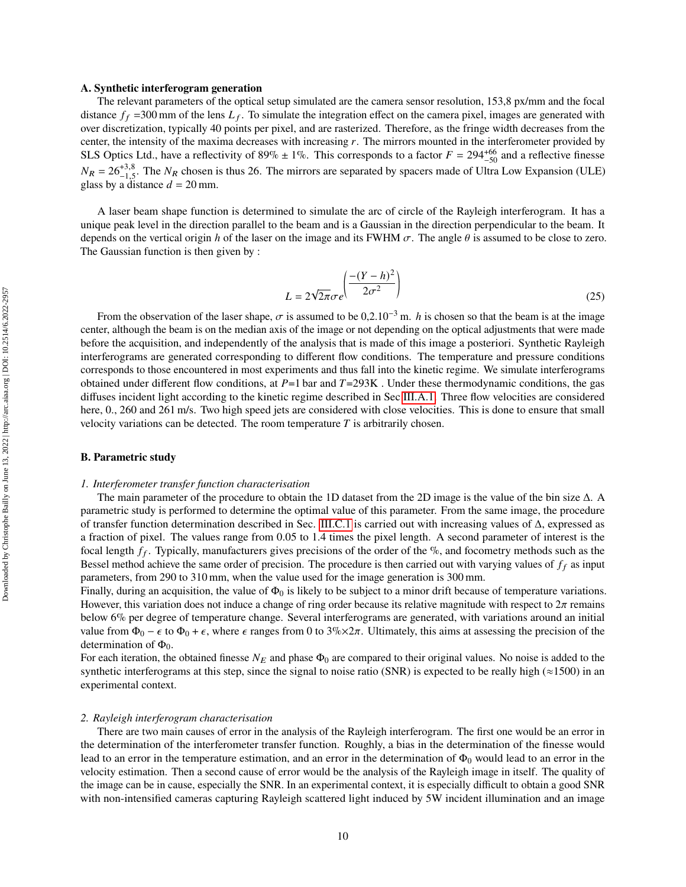#### <span id="page-9-0"></span>**A. Synthetic interferogram generation**

The relevant parameters of the optical setup simulated are the camera sensor resolution, 153,8 px/mm and the focal distance  $f_f$  =300 mm of the lens  $L_f$ . To simulate the integration effect on the camera pixel, images are generated with over discretization, typically 40 points per pixel, and are rasterized. Therefore, as the fringe width decreases from the center, the intensity of the maxima decreases with increasing  $r$ . The mirrors mounted in the interferometer provided by SLS Optics Ltd., have a reflectivity of 89%  $\pm$  1%. This corresponds to a factor  $F = 294^{+66}_{-50}$  and a reflective finesse  $N_R = 26^{+3.8}_{-1.5}$ . The  $N_R$  chosen is thus 26. The mirrors are separated by spacers made of Ultra Low Expansion (ULE) glass by a distance  $d = 20$  mm.

A laser beam shape function is determined to simulate the arc of circle of the Rayleigh interferogram. It has a unique peak level in the direction parallel to the beam and is a Gaussian in the direction perpendicular to the beam. It depends on the vertical origin h of the laser on the image and its FWHM  $\sigma$ . The angle  $\theta$  is assumed to be close to zero. The Gaussian function is then given by :

$$
L = 2\sqrt{2\pi}\sigma e^{\left(\frac{-(Y-h)^2}{2\sigma^2}\right)}
$$
\n(25)

From the observation of the laser shape,  $\sigma$  is assumed to be 0,2.10<sup>-3</sup> m. *h* is chosen so that the beam is at the image center, although the beam is on the median axis of the image or not depending on the optical adjustments that were made before the acquisition, and independently of the analysis that is made of this image a posteriori. Synthetic Rayleigh interferograms are generated corresponding to different flow conditions. The temperature and pressure conditions corresponds to those encountered in most experiments and thus fall into the kinetic regime. We simulate interferograms obtained under different flow conditions, at  $P=1$  bar and  $T=293K$ . Under these thermodynamic conditions, the gas diffuses incident light according to the kinetic regime described in Sec [III.A.1.](#page-2-1) Three flow velocities are considered here, 0., 260 and 261 m/s. Two high speed jets are considered with close velocities. This is done to ensure that small velocity variations can be detected. The room temperature  $T$  is arbitrarily chosen.

#### <span id="page-9-1"></span>**B. Parametric study**

#### *1. Interferometer transfer function characterisation*

The main parameter of the procedure to obtain the 1D dataset from the 2D image is the value of the bin size  $\Delta$ . parametric study is performed to determine the optimal value of this parameter. From the same image, the procedure of transfer function determination described in Sec. [III.C.1](#page-7-4) is carried out with increasing values of Δ, expressed as a fraction of pixel. The values range from 0.05 to 1.4 times the pixel length. A second parameter of interest is the focal length  $f_f$ . Typically, manufacturers gives precisions of the order of the  $\%$ , and focometry methods such as the Bessel method achieve the same order of precision. The procedure is then carried out with varying values of  $f_f$  as input parameters, from 290 to 310 mm, when the value used for the image generation is 300 mm.

Finally, during an acquisition, the value of  $\Phi_0$  is likely to be subject to a minor drift because of temperature variations. However, this variation does not induce a change of ring order because its relative magnitude with respect to  $2\pi$  remains below 6% per degree of temperature change. Several interferograms are generated, with variations around an initial value from  $\Phi_0 - \epsilon$  to  $\Phi_0 + \epsilon$ , where  $\epsilon$  ranges from 0 to 3%×2 $\pi$ . Ultimately, this aims at assessing the precision of the determination of  $\Phi_0$ .

For each iteration, the obtained finesse  $N_E$  and phase  $\Phi_0$  are compared to their original values. No noise is added to the synthetic interferograms at this step, since the signal to noise ratio (SNR) is expected to be really high ( $\approx$ 1500) in an experimental context.

#### *2. Rayleigh interferogram characterisation*

There are two main causes of error in the analysis of the Rayleigh interferogram. The first one would be an error in the determination of the interferometer transfer function. Roughly, a bias in the determination of the finesse would lead to an error in the temperature estimation, and an error in the determination of  $\Phi_0$  would lead to an error in the velocity estimation. Then a second cause of error would be the analysis of the Rayleigh image in itself. The quality of the image can be in cause, especially the SNR. In an experimental context, it is especially difficult to obtain a good SNR with non-intensified cameras capturing Rayleigh scattered light induced by 5W incident illumination and an image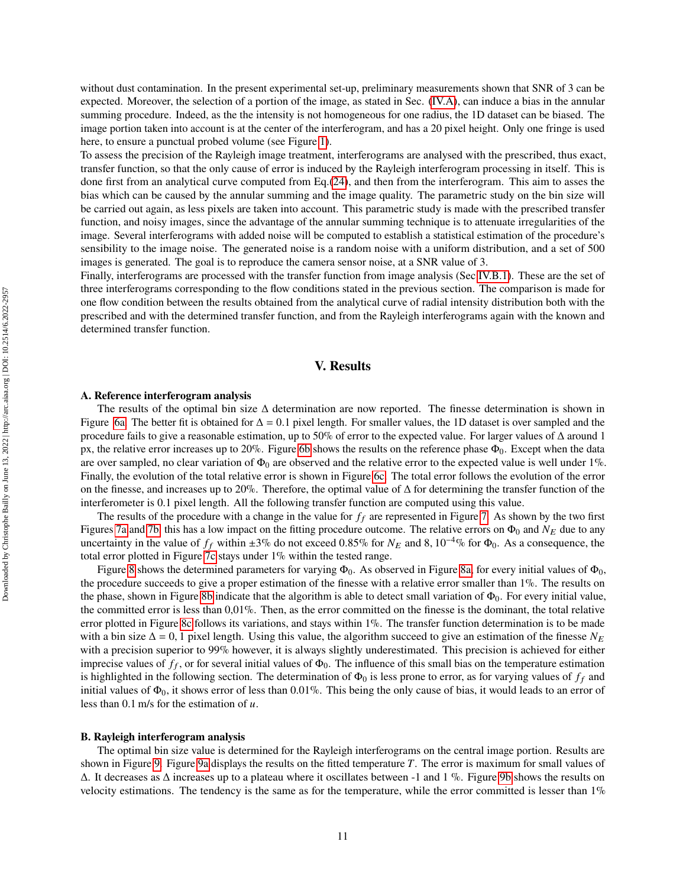without dust contamination. In the present experimental set-up, preliminary measurements shown that SNR of 3 can be expected. Moreover, the selection of a portion of the image, as stated in Sec. [\(IV.A\)](#page-9-0), can induce a bias in the annular summing procedure. Indeed, as the the intensity is not homogeneous for one radius, the 1D dataset can be biased. The image portion taken into account is at the center of the interferogram, and has a 20 pixel height. Only one fringe is used here, to ensure a punctual probed volume (see Figure [1\)](#page-2-0).

To assess the precision of the Rayleigh image treatment, interferograms are analysed with the prescribed, thus exact, transfer function, so that the only cause of error is induced by the Rayleigh interferogram processing in itself. This is done first from an analytical curve computed from Eq.[\(24\)](#page-8-0), and then from the interferogram. This aim to asses the bias which can be caused by the annular summing and the image quality. The parametric study on the bin size will be carried out again, as less pixels are taken into account. This parametric study is made with the prescribed transfer function, and noisy images, since the advantage of the annular summing technique is to attenuate irregularities of the image. Several interferograms with added noise will be computed to establish a statistical estimation of the procedure's sensibility to the image noise. The generated noise is a random noise with a uniform distribution, and a set of 500 images is generated. The goal is to reproduce the camera sensor noise, at a SNR value of 3.

Finally, interferograms are processed with the transfer function from image analysis (Sec [IV.B.1\)](#page-9-1). These are the set of three interferograms corresponding to the flow conditions stated in the previous section. The comparison is made for one flow condition between the results obtained from the analytical curve of radial intensity distribution both with the prescribed and with the determined transfer function, and from the Rayleigh interferograms again with the known and determined transfer function.

## **V. Results**

#### **A. Reference interferogram analysis**

The results of the optimal bin size  $\Delta$  determination are now reported. The finesse determination is shown in Figure [6a.](#page-11-0) The better fit is obtained for  $\Delta = 0.1$  pixel length. For smaller values, the 1D dataset is over sampled and the procedure fails to give a reasonable estimation, up to 50% of error to the expected value. For larger values of Δ around 1 px, the relative error increases up to 20%. Figure [6b](#page-11-0) shows the results on the reference phase  $\Phi_0$ . Except when the data are over sampled, no clear variation of  $\Phi_0$  are observed and the relative error to the expected value is well under 1%. Finally, the evolution of the total relative error is shown in Figure [6c.](#page-11-0) The total error follows the evolution of the error on the finesse, and increases up to 20%. Therefore, the optimal value of  $\Delta$  for determining the transfer function of the interferometer is 0.1 pixel length. All the following transfer function are computed using this value.

The results of the procedure with a change in the value for  $f_f$  are represented in Figure [7.](#page-12-0) As shown by the two first Figures [7a](#page-12-0) and [7b,](#page-12-0) this has a low impact on the fitting procedure outcome. The relative errors on  $\Phi_0$  and  $N_E$  due to any uncertainty in the value of  $f_f$  within ±3% do not exceed 0.85% for  $N_E$  and 8, 10<sup>-4</sup>% for  $\Phi_0$ . As a consequence, the total error plotted in Figure [7c](#page-12-0) stays under 1% within the tested range.

Figure [8](#page-13-0) shows the determined parameters for varying  $\Phi_0$ . As observed in Figure [8a,](#page-13-0) for every initial values of  $\Phi_0$ , the procedure succeeds to give a proper estimation of the finesse with a relative error smaller than 1%. The results on the phase, shown in Figure [8b](#page-13-0) indicate that the algorithm is able to detect small variation of  $\Phi_0$ . For every initial value, the committed error is less than 0,01%. Then, as the error committed on the finesse is the dominant, the total relative error plotted in Figure [8c](#page-13-0) follows its variations, and stays within 1%. The transfer function determination is to be made with a bin size  $\Delta = 0$ , 1 pixel length. Using this value, the algorithm succeed to give an estimation of the finesse  $N_E$ with a precision superior to 99% however, it is always slightly underestimated. This precision is achieved for either imprecise values of  $f_f$ , or for several initial values of  $\Phi_0$ . The influence of this small bias on the temperature estimation is highlighted in the following section. The determination of  $\Phi_0$  is less prone to error, as for varying values of  $f_f$  and initial values of  $\Phi_0$ , it shows error of less than 0.01%. This being the only cause of bias, it would leads to an error of less than  $0.1$  m/s for the estimation of  $u$ .

#### **B. Rayleigh interferogram analysis**

The optimal bin size value is determined for the Rayleigh interferograms on the central image portion. Results are shown in Figure [9.](#page-14-0) Figure [9a](#page-14-0) displays the results on the fitted temperature  $T$ . The error is maximum for small values of  $\Delta$ . It decreases as  $\Delta$  increases up to a plateau where it oscillates between -1 and 1 %. Figure [9b](#page-14-0) shows the results on velocity estimations. The tendency is the same as for the temperature, while the error committed is lesser than 1%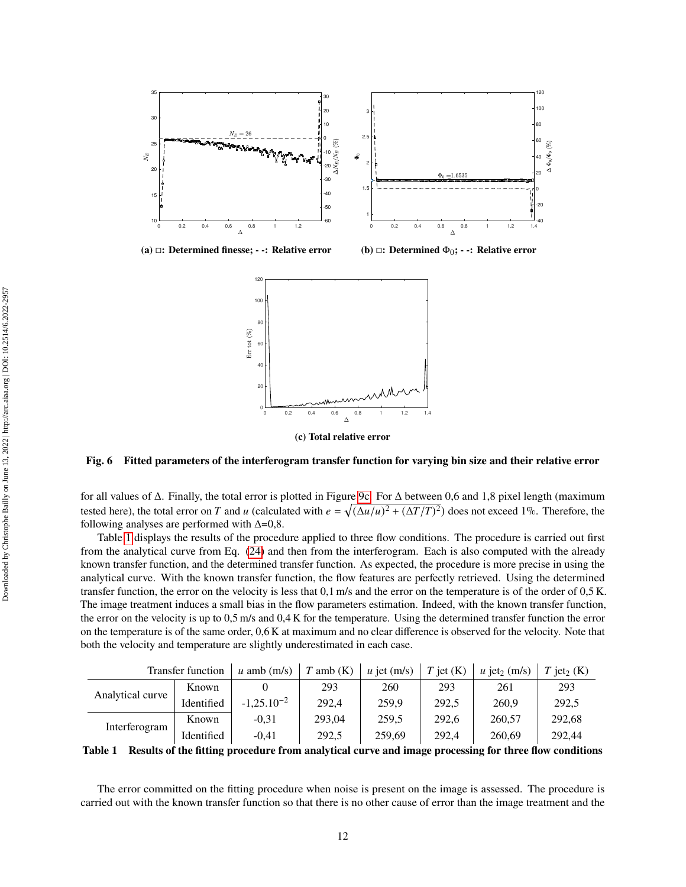<span id="page-11-0"></span>

**(a) : Determined finesse; - -: Relative error (b) : Determined** Φ0**; - -: Relative error**



**(c) Total relative error**

## **Fig. 6 Fitted parameters of the interferogram transfer function for varying bin size and their relative error**

for all values of Δ. Finally, the total error is plotted in Figure [9c.](#page-14-0) For Δ between 0,6 and 1,8 pixel length (maximum tested here), the total error on T and u (calculated with  $e = \sqrt{(\Delta u/u)^2 + (\Delta T/T)^2})$  does not exceed 1%. Therefore, the following analyses are performed with  $\Delta=0,8$ .

Table [1](#page-11-1) displays the results of the procedure applied to three flow conditions. The procedure is carried out first from the analytical curve from Eq. [\(24\)](#page-8-0) and then from the interferogram. Each is also computed with the already known transfer function, and the determined transfer function. As expected, the procedure is more precise in using the analytical curve. With the known transfer function, the flow features are perfectly retrieved. Using the determined transfer function, the error on the velocity is less that 0,1 m/s and the error on the temperature is of the order of 0,5 K. The image treatment induces a small bias in the flow parameters estimation. Indeed, with the known transfer function, the error on the velocity is up to 0,5 m/s and 0,4 K for the temperature. Using the determined transfer function the error on the temperature is of the same order, 0,6 K at maximum and no clear difference is observed for the velocity. Note that both the velocity and temperature are slightly underestimated in each case.

<span id="page-11-1"></span>

|                  | <b>Transfer function</b> | $u$ amb (m/s)   | $T$ amb $(K)$ | $u$ jet (m/s) | $T$ jet $(K)$ | $u$ jet <sub>2</sub> (m/s) | $\text{jet}_2 \text{ (K)}$ |
|------------------|--------------------------|-----------------|---------------|---------------|---------------|----------------------------|----------------------------|
| Analytical curve | Known                    |                 | 293           | 260           | 293           | 261                        | 293                        |
|                  | Identified               | $-1,25.10^{-2}$ | 292,4         | 259,9         | 292,5         | 260,9                      | 292,5                      |
| Interferogram    | Known                    | $-0.31$         | 293.04        | 259,5         | 292.6         | 260,57                     | 292,68                     |
|                  | Identified               | $-0.41$         | 292,5         | 259,69        | 292.4         | 260,69                     | 292,44                     |

**Table 1 Results of the fitting procedure from analytical curve and image processing for three flow conditions**

The error committed on the fitting procedure when noise is present on the image is assessed. The procedure is carried out with the known transfer function so that there is no other cause of error than the image treatment and the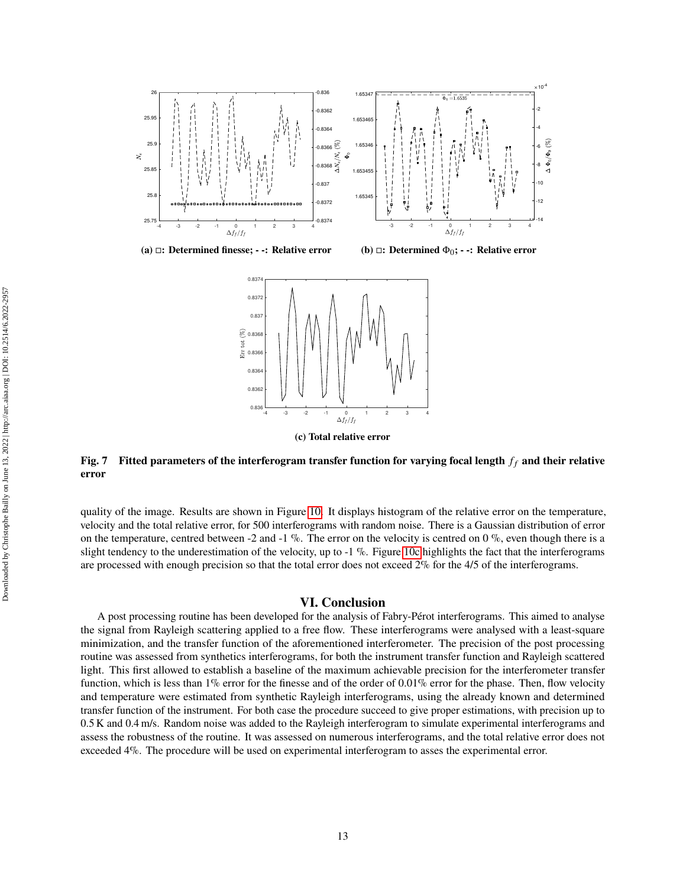<span id="page-12-0"></span>

**(a) : Determined finesse; - -: Relative error**

**(b) : Determined** Φ0**; - -: Relative error**



**(c) Total relative error**

## Fig. 7 Fitted parameters of the interferogram transfer function for varying focal length  $f_f$  and their relative **error**

quality of the image. Results are shown in Figure [10.](#page-15-0) It displays histogram of the relative error on the temperature, velocity and the total relative error, for 500 interferograms with random noise. There is a Gaussian distribution of error on the temperature, centred between -2 and -1  $\%$ . The error on the velocity is centred on 0  $\%$ , even though there is a slight tendency to the underestimation of the velocity, up to  $-1\%$ . Figure [10c](#page-15-0) highlights the fact that the interferograms are processed with enough precision so that the total error does not exceed 2% for the 4/5 of the interferograms.

#### **VI. Conclusion**

A post processing routine has been developed for the analysis of Fabry-Pérot interferograms. This aimed to analyse the signal from Rayleigh scattering applied to a free flow. These interferograms were analysed with a least-square minimization, and the transfer function of the aforementioned interferometer. The precision of the post processing routine was assessed from synthetics interferograms, for both the instrument transfer function and Rayleigh scattered light. This first allowed to establish a baseline of the maximum achievable precision for the interferometer transfer function, which is less than 1% error for the finesse and of the order of 0.01% error for the phase. Then, flow velocity and temperature were estimated from synthetic Rayleigh interferograms, using the already known and determined transfer function of the instrument. For both case the procedure succeed to give proper estimations, with precision up to 0.5 K and 0.4 m/s. Random noise was added to the Rayleigh interferogram to simulate experimental interferograms and assess the robustness of the routine. It was assessed on numerous interferograms, and the total relative error does not exceeded 4%. The procedure will be used on experimental interferogram to asses the experimental error.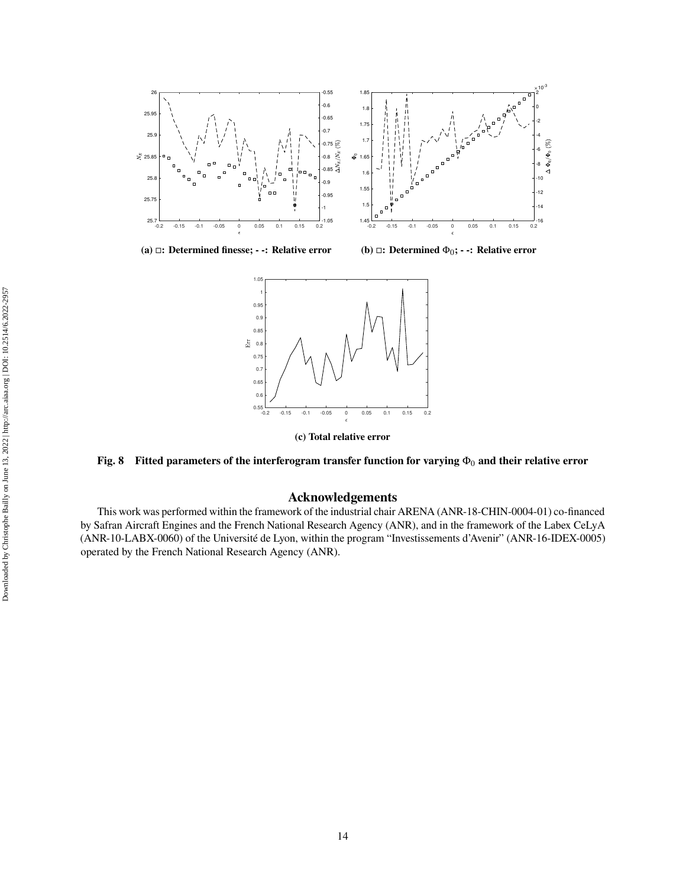<span id="page-13-0"></span>

**(a) : Determined finesse; - -: Relative error**

**(b) : Determined** Φ0**; - -: Relative error**



**(c) Total relative error**

## **Fig. 8** Fitted parameters of the interferogram transfer function for varying  $Φ_0$  and their relative error

## **Acknowledgements**

This work was performed within the framework of the industrial chair ARENA (ANR-18-CHIN-0004-01) co-financed by Safran Aircraft Engines and the French National Research Agency (ANR), and in the framework of the Labex CeLyA (ANR-10-LABX-0060) of the Université de Lyon, within the program "Investissements d'Avenir" (ANR-16-IDEX-0005) operated by the French National Research Agency (ANR).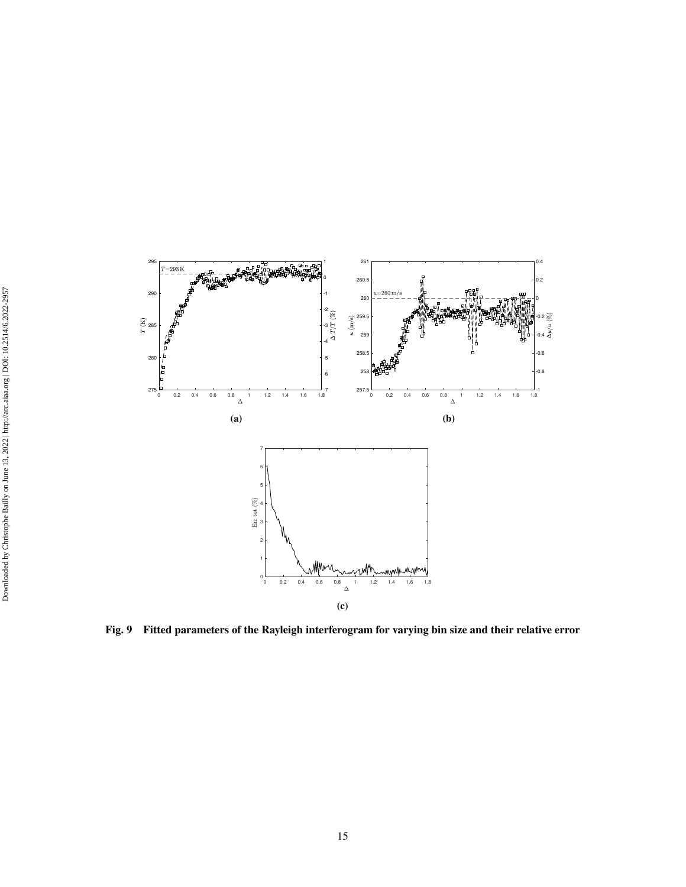<span id="page-14-0"></span>

**Fig. 9 Fitted parameters of the Rayleigh interferogram for varying bin size and their relative error**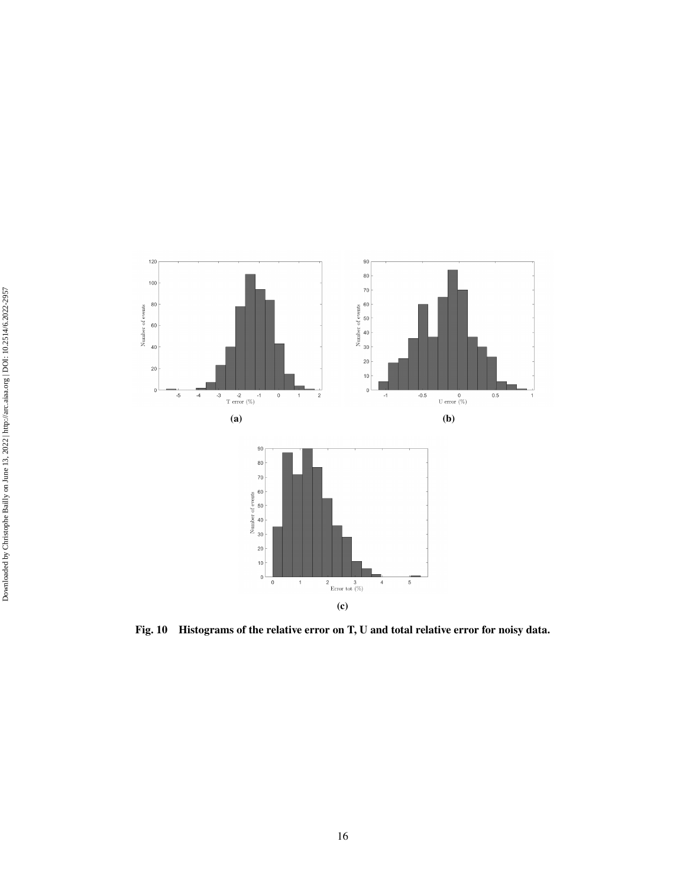<span id="page-15-0"></span>

**Fig. 10 Histograms of the relative error on T, U and total relative error for noisy data.**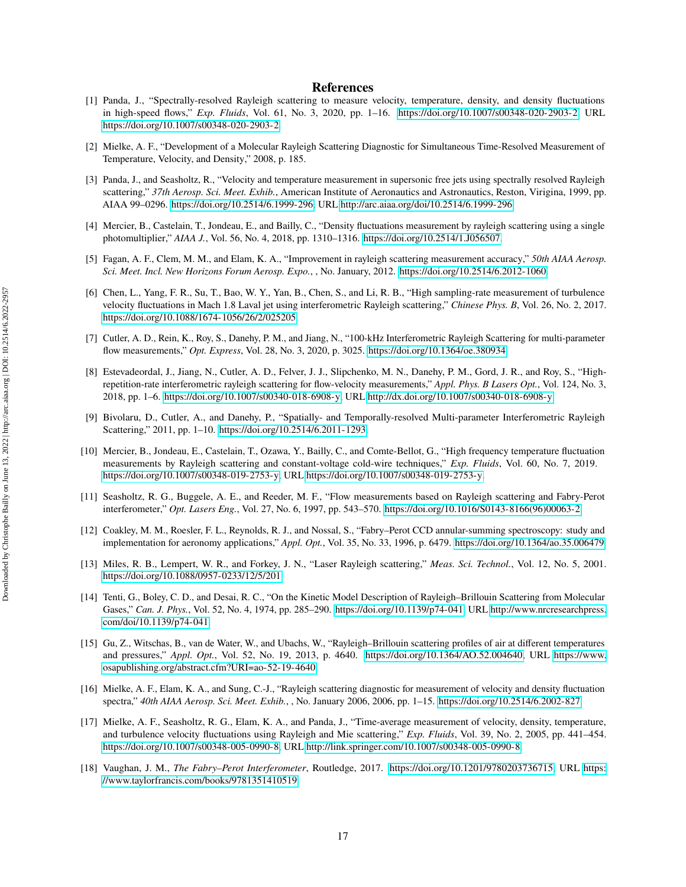## **References**

- <span id="page-16-0"></span>[1] Panda, J., "Spectrally-resolved Rayleigh scattering to measure velocity, temperature, density, and density fluctuations in high-speed flows," *Exp. Fluids*, Vol. 61, No. 3, 2020, pp. 1–16. [https://doi.org/10.1007/s00348-020-2903-2,](https://doi.org/10.1007/s00348-020-2903-2) URL [https://doi.org/10.1007/s00348-020-2903-2.](https://doi.org/10.1007/s00348-020-2903-2)
- <span id="page-16-5"></span>[2] Mielke, A. F., "Development of a Molecular Rayleigh Scattering Diagnostic for Simultaneous Time-Resolved Measurement of Temperature, Velocity, and Density," 2008, p. 185.
- [3] Panda, J., and Seasholtz, R., "Velocity and temperature measurement in supersonic free jets using spectrally resolved Rayleigh scattering," *37th Aerosp. Sci. Meet. Exhib.*, American Institute of Aeronautics and Astronautics, Reston, Virigina, 1999, pp. AIAA 99–0296. [https://doi.org/10.2514/6.1999-296,](https://doi.org/10.2514/6.1999-296) URL [http://arc.aiaa.org/doi/10.2514/6.1999-296.](http://arc.aiaa.org/doi/10.2514/6.1999-296)
- [4] Mercier, B., Castelain, T., Jondeau, E., and Bailly, C., "Density fluctuations measurement by rayleigh scattering using a single photomultiplier," *AIAA J.*, Vol. 56, No. 4, 2018, pp. 1310–1316. [https://doi.org/10.2514/1.J056507.](https://doi.org/10.2514/1.J056507)
- [5] Fagan, A. F., Clem, M. M., and Elam, K. A., "Improvement in rayleigh scattering measurement accuracy," *50th AIAA Aerosp. Sci. Meet. Incl. New Horizons Forum Aerosp. Expo.*, , No. January, 2012. [https://doi.org/10.2514/6.2012-1060.](https://doi.org/10.2514/6.2012-1060)
- <span id="page-16-1"></span>[6] Chen, L., Yang, F. R., Su, T., Bao, W. Y., Yan, B., Chen, S., and Li, R. B., "High sampling-rate measurement of turbulence velocity fluctuations in Mach 1.8 Laval jet using interferometric Rayleigh scattering," *Chinese Phys. B*, Vol. 26, No. 2, 2017. [https://doi.org/10.1088/1674-1056/26/2/025205.](https://doi.org/10.1088/1674-1056/26/2/025205)
- <span id="page-16-2"></span>[7] Cutler, A. D., Rein, K., Roy, S., Danehy, P. M., and Jiang, N., "100-kHz Interferometric Rayleigh Scattering for multi-parameter flow measurements," *Opt. Express*, Vol. 28, No. 3, 2020, p. 3025. [https://doi.org/10.1364/oe.380934.](https://doi.org/10.1364/oe.380934)
- [8] Estevadeordal, J., Jiang, N., Cutler, A. D., Felver, J. J., Slipchenko, M. N., Danehy, P. M., Gord, J. R., and Roy, S., "Highrepetition-rate interferometric rayleigh scattering for flow-velocity measurements," *Appl. Phys. B Lasers Opt.*, Vol. 124, No. 3, 2018, pp. 1–6. [https://doi.org/10.1007/s00340-018-6908-y,](https://doi.org/10.1007/s00340-018-6908-y) URL [http://dx.doi.org/10.1007/s00340-018-6908-y.](http://dx.doi.org/10.1007/s00340-018-6908-y)
- <span id="page-16-3"></span>[9] Bivolaru, D., Cutler, A., and Danehy, P., "Spatially- and Temporally-resolved Multi-parameter Interferometric Rayleigh Scattering," 2011, pp. 1–10. [https://doi.org/10.2514/6.2011-1293.](https://doi.org/10.2514/6.2011-1293)
- <span id="page-16-4"></span>[10] Mercier, B., Jondeau, E., Castelain, T., Ozawa, Y., Bailly, C., and Comte-Bellot, G., "High frequency temperature fluctuation measurements by Rayleigh scattering and constant-voltage cold-wire techniques," *Exp. Fluids*, Vol. 60, No. 7, 2019. [https://doi.org/10.1007/s00348-019-2753-y,](https://doi.org/10.1007/s00348-019-2753-y) URL [https://doi.org/10.1007/s00348-019-2753-y.](https://doi.org/10.1007/s00348-019-2753-y)
- <span id="page-16-6"></span>[11] Seasholtz, R. G., Buggele, A. E., and Reeder, M. F., "Flow measurements based on Rayleigh scattering and Fabry-Perot interferometer," *Opt. Lasers Eng.*, Vol. 27, No. 6, 1997, pp. 543–570. [https://doi.org/10.1016/S0143-8166\(96\)00063-2.](https://doi.org/10.1016/S0143-8166(96)00063-2)
- <span id="page-16-7"></span>[12] Coakley, M. M., Roesler, F. L., Reynolds, R. J., and Nossal, S., "Fabry–Perot CCD annular-summing spectroscopy: study and implementation for aeronomy applications," *Appl. Opt.*, Vol. 35, No. 33, 1996, p. 6479. [https://doi.org/10.1364/ao.35.006479.](https://doi.org/10.1364/ao.35.006479)
- <span id="page-16-8"></span>[13] Miles, R. B., Lempert, W. R., and Forkey, J. N., "Laser Rayleigh scattering," *Meas. Sci. Technol.*, Vol. 12, No. 5, 2001. [https://doi.org/10.1088/0957-0233/12/5/201.](https://doi.org/10.1088/0957-0233/12/5/201)
- <span id="page-16-9"></span>[14] Tenti, G., Boley, C. D., and Desai, R. C., "On the Kinetic Model Description of Rayleigh–Brillouin Scattering from Molecular Gases," *Can. J. Phys.*, Vol. 52, No. 4, 1974, pp. 285–290. [https://doi.org/10.1139/p74-041,](https://doi.org/10.1139/p74-041) URL [http://www.nrcresearchpress.](http://www.nrcresearchpress.com/doi/10.1139/p74-041) [com/doi/10.1139/p74-041.](http://www.nrcresearchpress.com/doi/10.1139/p74-041)
- <span id="page-16-10"></span>[15] Gu, Z., Witschas, B., van de Water, W., and Ubachs, W., "Rayleigh–Brillouin scattering profiles of air at different temperatures and pressures," *Appl. Opt.*, Vol. 52, No. 19, 2013, p. 4640. [https://doi.org/10.1364/AO.52.004640,](https://doi.org/10.1364/AO.52.004640) URL [https://www.](https://www.osapublishing.org/abstract.cfm?URI=ao-52-19-4640) [osapublishing.org/abstract.cfm?URI=ao-52-19-4640.](https://www.osapublishing.org/abstract.cfm?URI=ao-52-19-4640)
- <span id="page-16-11"></span>[16] Mielke, A. F., Elam, K. A., and Sung, C.-J., "Rayleigh scattering diagnostic for measurement of velocity and density fluctuation spectra," *40th AIAA Aerosp. Sci. Meet. Exhib.*, , No. January 2006, 2006, pp. 1–15. [https://doi.org/10.2514/6.2002-827.](https://doi.org/10.2514/6.2002-827)
- <span id="page-16-12"></span>[17] Mielke, A. F., Seasholtz, R. G., Elam, K. A., and Panda, J., "Time-average measurement of velocity, density, temperature, and turbulence velocity fluctuations using Rayleigh and Mie scattering," *Exp. Fluids*, Vol. 39, No. 2, 2005, pp. 441–454. [https://doi.org/10.1007/s00348-005-0990-8,](https://doi.org/10.1007/s00348-005-0990-8) URL [http://link.springer.com/10.1007/s00348-005-0990-8.](http://link.springer.com/10.1007/s00348-005-0990-8)
- <span id="page-16-13"></span>[18] Vaughan, J. M., *The Fabry–Perot Interferometer*, Routledge, 2017. [https://doi.org/10.1201/9780203736715,](https://doi.org/10.1201/9780203736715) URL [https:](https://www.taylorfrancis.com/books/9781351410519) [//www.taylorfrancis.com/books/9781351410519.](https://www.taylorfrancis.com/books/9781351410519)